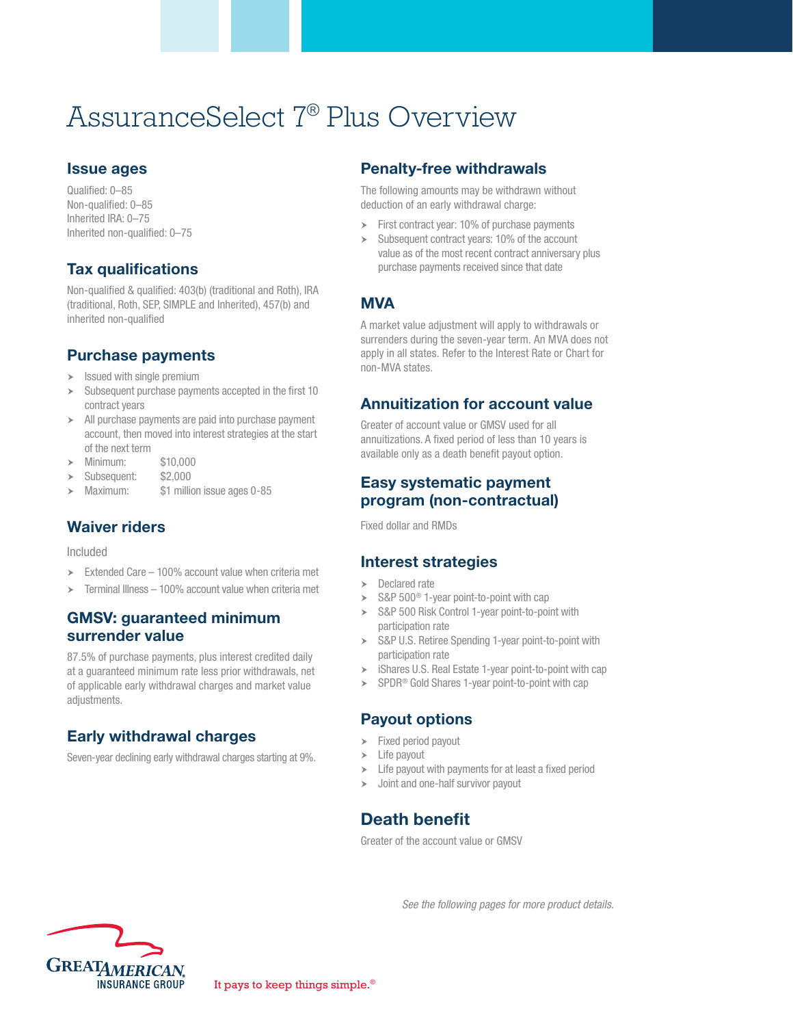# AssuranceSelect 7® Plus Overview

#### Issue ages

Qualified: 0–85 Non-qualified: 0–85 Inherited IRA: 0–75 Inherited non-qualified: 0–75

# Tax qualifications

Non-qualified & qualified: 403(b) (traditional and Roth), IRA (traditional, Roth, SEP, SIMPLE and Inherited), 457(b) and inherited non-qualified

#### Purchase payments

- $\blacktriangleright$  Issued with single premium
- Subsequent purchase payments accepted in the first 10 contract years
- $\blacktriangleright$  All purchase payments are paid into purchase payment account, then moved into interest strategies at the start of the next term
- h Minimum: \$10,000
- Subsequent: \$2,000
- Maximum: \$1 million issue ages 0-85

#### Waiver riders

Included

- $\geq$  Extended Care 100% account value when criteria met
- $\geq$  Terminal Illness 100% account value when criteria met

#### GMSV: guaranteed minimum surrender value

87.5% of purchase payments, plus interest credited daily at a guaranteed minimum rate less prior withdrawals, net of applicable early withdrawal charges and market value adjustments.

# Early withdrawal charges

Seven-year declining early withdrawal charges starting at 9%.

#### Penalty-free withdrawals

The following amounts may be withdrawn without deduction of an early withdrawal charge:

- $\triangleright$  First contract year: 10% of purchase payments
- $\geq$  Subsequent contract years: 10% of the account value as of the most recent contract anniversary plus purchase payments received since that date

## **MVA**

A market value adjustment will apply to withdrawals or surrenders during the seven-year term. An MVA does not apply in all states. Refer to the Interest Rate or Chart for non-MVA states.

#### Annuitization for account value

Greater of account value or GMSV used for all annuitizations. A fixed period of less than 10 years is available only as a death benefit payout option.

### Easy systematic payment program (non-contractual)

Fixed dollar and RMDs

#### Interest strategies

- $\triangleright$  Declared rate
- $\triangleright$  S&P 500<sup>®</sup> 1-year point-to-point with cap
- > S&P 500 Risk Control 1-year point-to-point with participation rate
- S&P U.S. Retiree Spending 1-year point-to-point with participation rate
- $\triangleright$  iShares U.S. Real Estate 1-year point-to-point with cap
- $\triangleright$  SPDR<sup>®</sup> Gold Shares 1-year point-to-point with cap

#### Payout options

- $\blacktriangleright$  Fixed period payout
- $\blacktriangleright$  Life payout
- $\blacktriangleright$  Life payout with payments for at least a fixed period
- $\rightarrow$  Joint and one-half survivor payout

# Death benefit

Greater of the account value or GMSV

*See the following pages for more product details.*

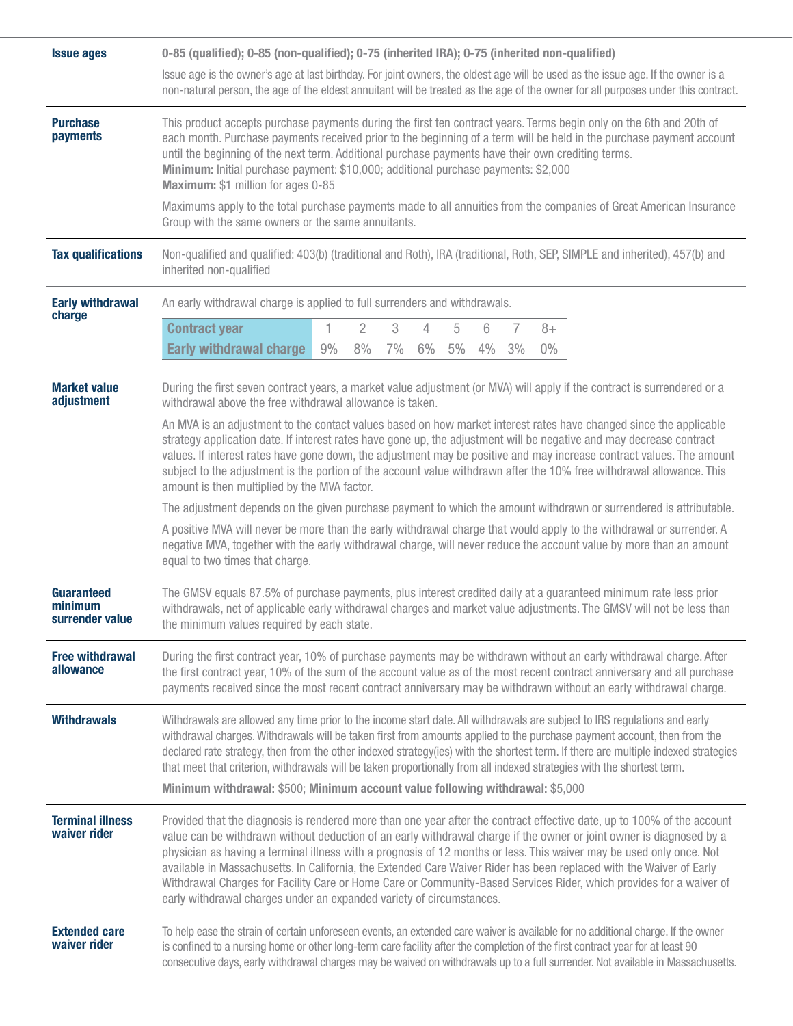| <b>Issue ages</b>                               | 0-85 (qualified); 0-85 (non-qualified); 0-75 (inherited IRA); 0-75 (inherited non-qualified)                                                                                                                                                                                                                                                                                                                                                                                                                                                                                                                                                                                                   |    |                |    |    |    |    |    |       |                                                                                                                    |
|-------------------------------------------------|------------------------------------------------------------------------------------------------------------------------------------------------------------------------------------------------------------------------------------------------------------------------------------------------------------------------------------------------------------------------------------------------------------------------------------------------------------------------------------------------------------------------------------------------------------------------------------------------------------------------------------------------------------------------------------------------|----|----------------|----|----|----|----|----|-------|--------------------------------------------------------------------------------------------------------------------|
|                                                 | Issue age is the owner's age at last birthday. For joint owners, the oldest age will be used as the issue age. If the owner is a<br>non-natural person, the age of the eldest annuitant will be treated as the age of the owner for all purposes under this contract.                                                                                                                                                                                                                                                                                                                                                                                                                          |    |                |    |    |    |    |    |       |                                                                                                                    |
| <b>Purchase</b><br>payments                     | This product accepts purchase payments during the first ten contract years. Terms begin only on the 6th and 20th of<br>each month. Purchase payments received prior to the beginning of a term will be held in the purchase payment account<br>until the beginning of the next term. Additional purchase payments have their own crediting terms.<br>Minimum: Initial purchase payment: \$10,000; additional purchase payments: \$2,000<br>Maximum: \$1 million for ages 0-85<br>Maximums apply to the total purchase payments made to all annuities from the companies of Great American Insurance<br>Group with the same owners or the same annuitants.                                      |    |                |    |    |    |    |    |       |                                                                                                                    |
| <b>Tax qualifications</b>                       | Non-qualified and qualified: 403(b) (traditional and Roth), IRA (traditional, Roth, SEP, SIMPLE and inherited), 457(b) and<br>inherited non-qualified                                                                                                                                                                                                                                                                                                                                                                                                                                                                                                                                          |    |                |    |    |    |    |    |       |                                                                                                                    |
| <b>Early withdrawal</b>                         | An early withdrawal charge is applied to full surrenders and withdrawals.                                                                                                                                                                                                                                                                                                                                                                                                                                                                                                                                                                                                                      |    |                |    |    |    |    |    |       |                                                                                                                    |
| charge                                          | <b>Contract year</b>                                                                                                                                                                                                                                                                                                                                                                                                                                                                                                                                                                                                                                                                           | 1  | $\overline{2}$ | 3  | 4  | 5  | 6  | 7  | $8+$  |                                                                                                                    |
|                                                 | <b>Early withdrawal charge</b>                                                                                                                                                                                                                                                                                                                                                                                                                                                                                                                                                                                                                                                                 | 9% | 8%             | 7% | 6% | 5% | 4% | 3% | $0\%$ |                                                                                                                    |
| <b>Market value</b><br>adjustment               | During the first seven contract years, a market value adjustment (or MVA) will apply if the contract is surrendered or a<br>withdrawal above the free withdrawal allowance is taken.                                                                                                                                                                                                                                                                                                                                                                                                                                                                                                           |    |                |    |    |    |    |    |       |                                                                                                                    |
|                                                 | An MVA is an adjustment to the contact values based on how market interest rates have changed since the applicable<br>strategy application date. If interest rates have gone up, the adjustment will be negative and may decrease contract<br>values. If interest rates have gone down, the adjustment may be positive and may increase contract values. The amount<br>subject to the adjustment is the portion of the account value withdrawn after the 10% free withdrawal allowance. This<br>amount is then multiplied by the MVA factor.                                                                                                                                                   |    |                |    |    |    |    |    |       |                                                                                                                    |
|                                                 |                                                                                                                                                                                                                                                                                                                                                                                                                                                                                                                                                                                                                                                                                                |    |                |    |    |    |    |    |       | The adjustment depends on the given purchase payment to which the amount withdrawn or surrendered is attributable. |
|                                                 | A positive MVA will never be more than the early withdrawal charge that would apply to the withdrawal or surrender. A<br>negative MVA, together with the early withdrawal charge, will never reduce the account value by more than an amount<br>equal to two times that charge.                                                                                                                                                                                                                                                                                                                                                                                                                |    |                |    |    |    |    |    |       |                                                                                                                    |
| <b>Guaranteed</b><br>minimum<br>surrender value | The GMSV equals 87.5% of purchase payments, plus interest credited daily at a guaranteed minimum rate less prior<br>withdrawals, net of applicable early withdrawal charges and market value adjustments. The GMSV will not be less than<br>the minimum values required by each state.                                                                                                                                                                                                                                                                                                                                                                                                         |    |                |    |    |    |    |    |       |                                                                                                                    |
| <b>Free withdrawal</b><br>allowance             | During the first contract year, 10% of purchase payments may be withdrawn without an early withdrawal charge. After<br>the first contract year, 10% of the sum of the account value as of the most recent contract anniversary and all purchase<br>payments received since the most recent contract anniversary may be withdrawn without an early withdrawal charge.                                                                                                                                                                                                                                                                                                                           |    |                |    |    |    |    |    |       |                                                                                                                    |
| <b>Withdrawals</b>                              | Withdrawals are allowed any time prior to the income start date. All withdrawals are subject to IRS regulations and early<br>withdrawal charges. Withdrawals will be taken first from amounts applied to the purchase payment account, then from the<br>declared rate strategy, then from the other indexed strategy(ies) with the shortest term. If there are multiple indexed strategies<br>that meet that criterion, withdrawals will be taken proportionally from all indexed strategies with the shortest term.<br>Minimum withdrawal: \$500; Minimum account value following withdrawal: \$5,000                                                                                         |    |                |    |    |    |    |    |       |                                                                                                                    |
|                                                 |                                                                                                                                                                                                                                                                                                                                                                                                                                                                                                                                                                                                                                                                                                |    |                |    |    |    |    |    |       |                                                                                                                    |
| <b>Terminal illness</b><br>waiver rider         | Provided that the diagnosis is rendered more than one year after the contract effective date, up to 100% of the account<br>value can be withdrawn without deduction of an early withdrawal charge if the owner or joint owner is diagnosed by a<br>physician as having a terminal illness with a prognosis of 12 months or less. This waiver may be used only once. Not<br>available in Massachusetts. In California, the Extended Care Waiver Rider has been replaced with the Waiver of Early<br>Withdrawal Charges for Facility Care or Home Care or Community-Based Services Rider, which provides for a waiver of<br>early withdrawal charges under an expanded variety of circumstances. |    |                |    |    |    |    |    |       |                                                                                                                    |
| <b>Extended care</b><br>waiver rider            | To help ease the strain of certain unforeseen events, an extended care waiver is available for no additional charge. If the owner<br>is confined to a nursing home or other long-term care facility after the completion of the first contract year for at least 90<br>consecutive days, early withdrawal charges may be waived on withdrawals up to a full surrender. Not available in Massachusetts.                                                                                                                                                                                                                                                                                         |    |                |    |    |    |    |    |       |                                                                                                                    |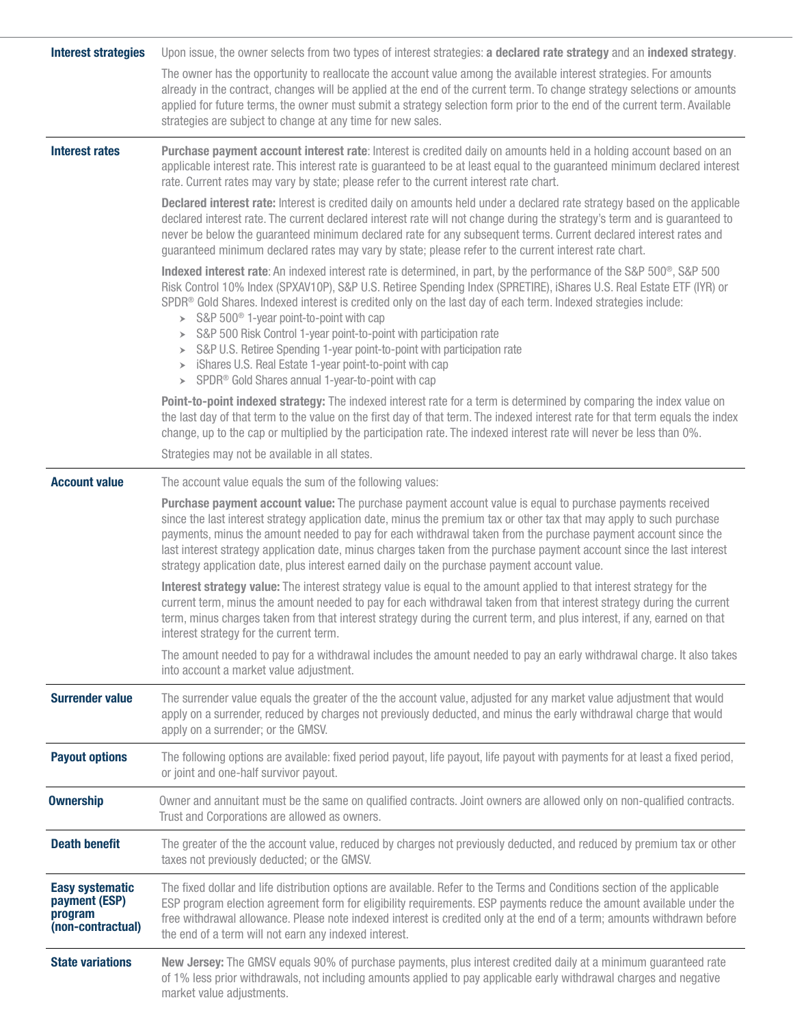| <b>Interest strategies</b>                                              | Upon issue, the owner selects from two types of interest strategies: a declared rate strategy and an indexed strategy.                                                                                                                                                                                                                                                                                                                                                                                                                                                                                                                                                                                                                  |  |  |  |  |
|-------------------------------------------------------------------------|-----------------------------------------------------------------------------------------------------------------------------------------------------------------------------------------------------------------------------------------------------------------------------------------------------------------------------------------------------------------------------------------------------------------------------------------------------------------------------------------------------------------------------------------------------------------------------------------------------------------------------------------------------------------------------------------------------------------------------------------|--|--|--|--|
|                                                                         | The owner has the opportunity to reallocate the account value among the available interest strategies. For amounts<br>already in the contract, changes will be applied at the end of the current term. To change strategy selections or amounts<br>applied for future terms, the owner must submit a strategy selection form prior to the end of the current term. Available<br>strategies are subject to change at any time for new sales.                                                                                                                                                                                                                                                                                             |  |  |  |  |
| <b>Interest rates</b>                                                   | Purchase payment account interest rate: Interest is credited daily on amounts held in a holding account based on an<br>applicable interest rate. This interest rate is guaranteed to be at least equal to the guaranteed minimum declared interest<br>rate. Current rates may vary by state; please refer to the current interest rate chart.                                                                                                                                                                                                                                                                                                                                                                                           |  |  |  |  |
|                                                                         | Declared interest rate: Interest is credited daily on amounts held under a declared rate strategy based on the applicable<br>declared interest rate. The current declared interest rate will not change during the strategy's term and is guaranteed to<br>never be below the guaranteed minimum declared rate for any subsequent terms. Current declared interest rates and<br>guaranteed minimum declared rates may vary by state; please refer to the current interest rate chart.                                                                                                                                                                                                                                                   |  |  |  |  |
|                                                                         | Indexed interest rate: An indexed interest rate is determined, in part, by the performance of the S&P 500 <sup>®</sup> , S&P 500<br>Risk Control 10% Index (SPXAV10P), S&P U.S. Retiree Spending Index (SPRETIRE), iShares U.S. Real Estate ETF (IYR) or<br>SPDR® Gold Shares. Indexed interest is credited only on the last day of each term. Indexed strategies include:<br>$\triangleright$ S&P 500 <sup>®</sup> 1-year point-to-point with cap<br>> S&P 500 Risk Control 1-year point-to-point with participation rate<br>> S&P U.S. Retiree Spending 1-year point-to-point with participation rate<br>> iShares U.S. Real Estate 1-year point-to-point with cap<br>> SPDR <sup>®</sup> Gold Shares annual 1-year-to-point with cap |  |  |  |  |
|                                                                         | Point-to-point indexed strategy: The indexed interest rate for a term is determined by comparing the index value on<br>the last day of that term to the value on the first day of that term. The indexed interest rate for that term equals the index<br>change, up to the cap or multiplied by the participation rate. The indexed interest rate will never be less than 0%.                                                                                                                                                                                                                                                                                                                                                           |  |  |  |  |
|                                                                         | Strategies may not be available in all states.                                                                                                                                                                                                                                                                                                                                                                                                                                                                                                                                                                                                                                                                                          |  |  |  |  |
| <b>Account value</b>                                                    | The account value equals the sum of the following values:                                                                                                                                                                                                                                                                                                                                                                                                                                                                                                                                                                                                                                                                               |  |  |  |  |
|                                                                         | Purchase payment account value: The purchase payment account value is equal to purchase payments received<br>since the last interest strategy application date, minus the premium tax or other tax that may apply to such purchase<br>payments, minus the amount needed to pay for each withdrawal taken from the purchase payment account since the<br>last interest strategy application date, minus charges taken from the purchase payment account since the last interest<br>strategy application date, plus interest earned daily on the purchase payment account value.                                                                                                                                                          |  |  |  |  |
|                                                                         | Interest strategy value: The interest strategy value is equal to the amount applied to that interest strategy for the<br>current term, minus the amount needed to pay for each withdrawal taken from that interest strategy during the current<br>term, minus charges taken from that interest strategy during the current term, and plus interest, if any, earned on that<br>interest strategy for the current term.                                                                                                                                                                                                                                                                                                                   |  |  |  |  |
|                                                                         | The amount needed to pay for a withdrawal includes the amount needed to pay an early withdrawal charge. It also takes<br>into account a market value adjustment.                                                                                                                                                                                                                                                                                                                                                                                                                                                                                                                                                                        |  |  |  |  |
| <b>Surrender value</b>                                                  | The surrender value equals the greater of the the account value, adjusted for any market value adjustment that would<br>apply on a surrender, reduced by charges not previously deducted, and minus the early withdrawal charge that would<br>apply on a surrender; or the GMSV.                                                                                                                                                                                                                                                                                                                                                                                                                                                        |  |  |  |  |
| <b>Payout options</b>                                                   | The following options are available: fixed period payout, life payout, life payout with payments for at least a fixed period,<br>or joint and one-half survivor payout.                                                                                                                                                                                                                                                                                                                                                                                                                                                                                                                                                                 |  |  |  |  |
| <b>Ownership</b>                                                        | Owner and annuitant must be the same on qualified contracts. Joint owners are allowed only on non-qualified contracts.<br>Trust and Corporations are allowed as owners.                                                                                                                                                                                                                                                                                                                                                                                                                                                                                                                                                                 |  |  |  |  |
| <b>Death benefit</b>                                                    | The greater of the the account value, reduced by charges not previously deducted, and reduced by premium tax or other<br>taxes not previously deducted; or the GMSV.                                                                                                                                                                                                                                                                                                                                                                                                                                                                                                                                                                    |  |  |  |  |
| <b>Easy systematic</b><br>payment (ESP)<br>program<br>(non-contractual) | The fixed dollar and life distribution options are available. Refer to the Terms and Conditions section of the applicable<br>ESP program election agreement form for eligibility requirements. ESP payments reduce the amount available under the<br>free withdrawal allowance. Please note indexed interest is credited only at the end of a term; amounts withdrawn before<br>the end of a term will not earn any indexed interest.                                                                                                                                                                                                                                                                                                   |  |  |  |  |
| <b>State variations</b>                                                 | New Jersey: The GMSV equals 90% of purchase payments, plus interest credited daily at a minimum guaranteed rate<br>of 1% less prior withdrawals, not including amounts applied to pay applicable early withdrawal charges and negative<br>market value adjustments.                                                                                                                                                                                                                                                                                                                                                                                                                                                                     |  |  |  |  |